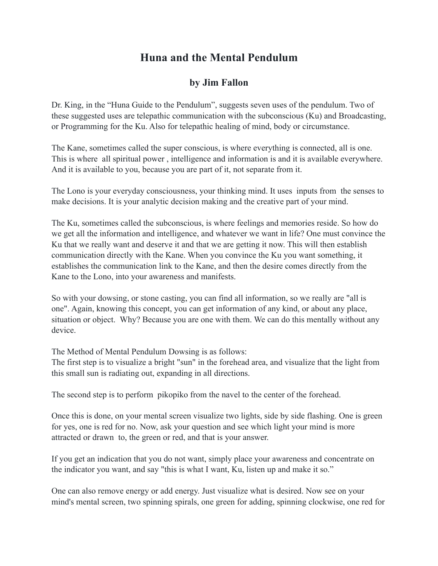## **Huna and the Mental Pendulum**

## **by Jim Fallon**

Dr. King, in the "Huna Guide to the Pendulum", suggests seven uses of the pendulum. Two of these suggested uses are telepathic communication with the subconscious (Ku) and Broadcasting, or Programming for the Ku. Also for telepathic healing of mind, body or circumstance.

The Kane, sometimes called the super conscious, is where everything is connected, all is one. This is where all spiritual power , intelligence and information is and it is available everywhere. And it is available to you, because you are part of it, not separate from it.

The Lono is your everyday consciousness, your thinking mind. It uses inputs from the senses to make decisions. It is your analytic decision making and the creative part of your mind.

The Ku, sometimes called the subconscious, is where feelings and memories reside. So how do we get all the information and intelligence, and whatever we want in life? One must convince the Ku that we really want and deserve it and that we are getting it now. This will then establish communication directly with the Kane. When you convince the Ku you want something, it establishes the communication link to the Kane, and then the desire comes directly from the Kane to the Lono, into your awareness and manifests.

So with your dowsing, or stone casting, you can find all information, so we really are "all is one". Again, knowing this concept, you can get information of any kind, or about any place, situation or object. Why? Because you are one with them. We can do this mentally without any device.

The Method of Mental Pendulum Dowsing is as follows:

The first step is to visualize a bright "sun" in the forehead area, and visualize that the light from this small sun is radiating out, expanding in all directions.

The second step is to perform pikopiko from the navel to the center of the forehead.

Once this is done, on your mental screen visualize two lights, side by side flashing. One is green for yes, one is red for no. Now, ask your question and see which light your mind is more attracted or drawn to, the green or red, and that is your answer.

If you get an indication that you do not want, simply place your awareness and concentrate on the indicator you want, and say "this is what I want, Ku, listen up and make it so."

One can also remove energy or add energy. Just visualize what is desired. Now see on your mind's mental screen, two spinning spirals, one green for adding, spinning clockwise, one red for